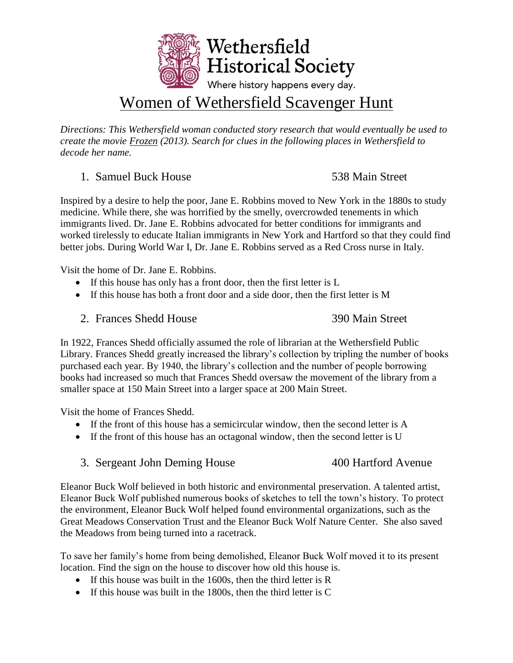

# Women of Wethersfield Scavenger Hunt

*Directions: This Wethersfield woman conducted story research that would eventually be used to create the movie Frozen (2013). Search for clues in the following places in Wethersfield to decode her name.*

### 1. Samuel Buck House 538 Main Street

Inspired by a desire to help the poor, Jane E. Robbins moved to New York in the 1880s to study medicine. While there, she was horrified by the smelly, overcrowded tenements in which immigrants lived. Dr. Jane E. Robbins advocated for better conditions for immigrants and worked tirelessly to educate Italian immigrants in New York and Hartford so that they could find better jobs. During World War I, Dr. Jane E. Robbins served as a Red Cross nurse in Italy.

Visit the home of Dr. Jane E. Robbins.

- If this house has only has a front door, then the first letter is L
- If this house has both a front door and a side door, then the first letter is M

2. Frances Shedd House 390 Main Street

In 1922, Frances Shedd officially assumed the role of librarian at the Wethersfield Public Library. Frances Shedd greatly increased the library's collection by tripling the number of books purchased each year. By 1940, the library's collection and the number of people borrowing books had increased so much that Frances Shedd oversaw the movement of the library from a smaller space at 150 Main Street into a larger space at 200 Main Street.

Visit the home of Frances Shedd.

- If the front of this house has a semicircular window, then the second letter is A
- If the front of this house has an octagonal window, then the second letter is U
- 3. Sergeant John Deming House 400 Hartford Avenue

Eleanor Buck Wolf believed in both historic and environmental preservation. A talented artist, Eleanor Buck Wolf published numerous books of sketches to tell the town's history. To protect the environment, Eleanor Buck Wolf helped found environmental organizations, such as the Great Meadows Conservation Trust and the Eleanor Buck Wolf Nature Center. She also saved the Meadows from being turned into a racetrack.

To save her family's home from being demolished, Eleanor Buck Wolf moved it to its present location. Find the sign on the house to discover how old this house is.

- $\bullet$  If this house was built in the 1600s, then the third letter is R
- If this house was built in the 1800s, then the third letter is C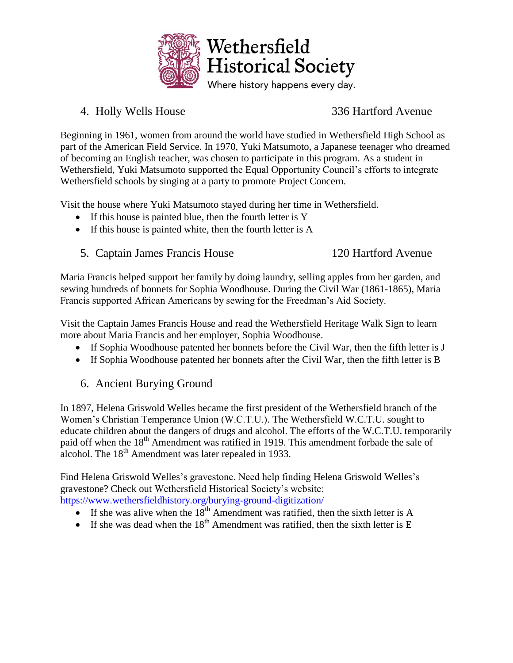

## 4. Holly Wells House 336 Hartford Avenue

Beginning in 1961, women from around the world have studied in Wethersfield High School as part of the American Field Service. In 1970, Yuki Matsumoto, a Japanese teenager who dreamed of becoming an English teacher, was chosen to participate in this program. As a student in Wethersfield, Yuki Matsumoto supported the Equal Opportunity Council's efforts to integrate Wethersfield schools by singing at a party to promote Project Concern.

Visit the house where Yuki Matsumoto stayed during her time in Wethersfield.

- If this house is painted blue, then the fourth letter is Y
- If this house is painted white, then the fourth letter is A
- 5. Captain James Francis House 120 Hartford Avenue

Maria Francis helped support her family by doing laundry, selling apples from her garden, and sewing hundreds of bonnets for Sophia Woodhouse. During the Civil War (1861-1865), Maria Francis supported African Americans by sewing for the Freedman's Aid Society.

Visit the Captain James Francis House and read the Wethersfield Heritage Walk Sign to learn more about Maria Francis and her employer, Sophia Woodhouse.

- If Sophia Woodhouse patented her bonnets before the Civil War, then the fifth letter is J
- If Sophia Woodhouse patented her bonnets after the Civil War, then the fifth letter is B

# 6. Ancient Burying Ground

In 1897, Helena Griswold Welles became the first president of the Wethersfield branch of the Women's Christian Temperance Union (W.C.T.U.). The Wethersfield W.C.T.U. sought to educate children about the dangers of drugs and alcohol. The efforts of the W.C.T.U. temporarily paid off when the 18<sup>th</sup> Amendment was ratified in 1919. This amendment forbade the sale of alcohol. The  $18<sup>th</sup>$  Amendment was later repealed in 1933.

Find Helena Griswold Welles's gravestone. Need help finding Helena Griswold Welles's gravestone? Check out Wethersfield Historical Society's website: <https://www.wethersfieldhistory.org/burying-ground-digitization/>

- If she was alive when the  $18^{th}$  Amendment was ratified, then the sixth letter is A
- If she was dead when the  $18<sup>th</sup>$  Amendment was ratified, then the sixth letter is E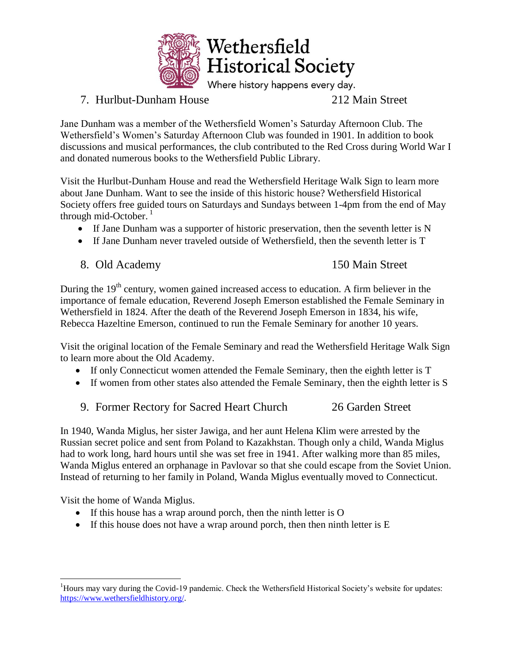

# 7. Hurlbut-Dunham House 212 Main Street

Jane Dunham was a member of the Wethersfield Women's Saturday Afternoon Club. The Wethersfield's Women's Saturday Afternoon Club was founded in 1901. In addition to book discussions and musical performances, the club contributed to the Red Cross during World War I and donated numerous books to the Wethersfield Public Library.

Visit the Hurlbut-Dunham House and read the Wethersfield Heritage Walk Sign to learn more about Jane Dunham. Want to see the inside of this historic house? Wethersfield Historical Society offers free guided tours on Saturdays and Sundays between 1-4pm from the end of May through mid-October. $<sup>1</sup>$ </sup>

- If Jane Dunham was a supporter of historic preservation, then the seventh letter is N
- If Jane Dunham never traveled outside of Wethersfield, then the seventh letter is T

8. Old Academy 150 Main Street

During the  $19<sup>th</sup>$  century, women gained increased access to education. A firm believer in the importance of female education, Reverend Joseph Emerson established the Female Seminary in Wethersfield in 1824. After the death of the Reverend Joseph Emerson in 1834, his wife, Rebecca Hazeltine Emerson, continued to run the Female Seminary for another 10 years.

Visit the original location of the Female Seminary and read the Wethersfield Heritage Walk Sign to learn more about the Old Academy.

- If only Connecticut women attended the Female Seminary, then the eighth letter is T
- If women from other states also attended the Female Seminary, then the eighth letter is S
- 9. Former Rectory for Sacred Heart Church 26 Garden Street

In 1940, Wanda Miglus, her sister Jawiga, and her aunt Helena Klim were arrested by the Russian secret police and sent from Poland to Kazakhstan. Though only a child, Wanda Miglus had to work long, hard hours until she was set free in 1941. After walking more than 85 miles, Wanda Miglus entered an orphanage in Pavlovar so that she could escape from the Soviet Union. Instead of returning to her family in Poland, Wanda Miglus eventually moved to Connecticut.

Visit the home of Wanda Miglus.

 $\overline{a}$ 

- If this house has a wrap around porch, then the ninth letter is O
- If this house does not have a wrap around porch, then then ninth letter is  $E$

<sup>&</sup>lt;sup>1</sup>Hours may vary during the Covid-19 pandemic. Check the Wethersfield Historical Society's website for updates: [https://www.wethersfieldhistory.org/.](https://www.wethersfieldhistory.org/)